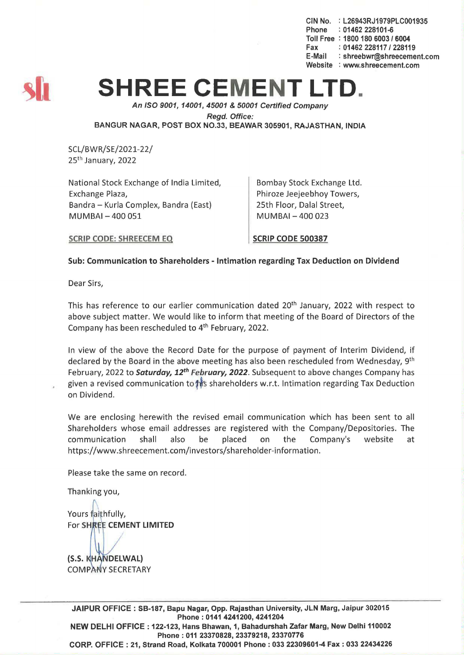CIN No. : L26943RJ1979PLC001935 Phone : 01462 228101-6 Toll Free: 1800 180 6003 / 6004 Fax: 01462 228117 / 228119<br>E-Mail: shreebwr@shreeceme : shreebwr@shreecement.com Website : www.shreecement.com



# **SHREE CEMENT L**

An ISO 9001, 14001,45001 & 50001 Certified Company

Regd. Office:

BANGUR NAGAR, POST BOX NO.33, BEAWAR 305901, RAJASTHAN. INDIA

SCL/BWR/SE/2021-22/ 25th January, 2022

National Stock Exchange of India Limited, Exchange Plaza, Bandra - Kurla Complex, Bandra (East) MUMBAI-400051

Bombay Stock Exchange Ltd. Phiroze Jeejeebhoy Towers, 25th Floor, Dalal Street, MUMBAI- 400 023

SCRIP CODE: SHREECEM EO

SCRIP CODE 500387

# Sub: Communication to Shareholders - Intimation regarding Tax Deduction on Dividend

Dear Sirs,

This has reference to our earlier communication dated 20<sup>th</sup> January, 2022 with respect to above subject matter. We would like to inform that meeting of the Board of Directors of the Company has been rescheduled to  $4<sup>th</sup>$  February, 2022.

In view of the above the Record Date for the purpose of payment of Interim Dividend, if declared by the Board in the above meeting has also been rescheduled from Wednesday, 9<sup>th</sup> February, 2022 to Saturday, *12th* February, *2022.* Subsequent to above changes Company has given a revised communication to this shareholders w.r.t. Intimation regarding Tax Deduction on Dividend.

We are enclosing herewith the revised email communication which has been sent to all Shareholders whose email addresses are registered with the Company/Depositories. The communication shall also be placed on the Company's website at https://www.shreecement.com/investors/shareholder-information.

Please take the same on record.

Thanking you,

Yours faithfully, For SHREE CEMENT LIMITED

(S.S. KHANDELWAL) **COMPANY SECRETARY** 

JAIPUR OFFICE: SB-187, Bapu Nagar, Opp. Rajasthan University, JLN Marg, Jaipur 302015 Phone: 0141 4241200, 4241204 NEW DELHI OFFICE: 122-123, Hans Bhawan, 1, Bahadurshah Zafar Marg, New Delhi 110002 Phone: 011 23370828, 23379218, 23370776 CORP. OFFICE: 21, Strand Road, Kolkata 700001 Phone: 033 22309601-4 Fax: 033 22434226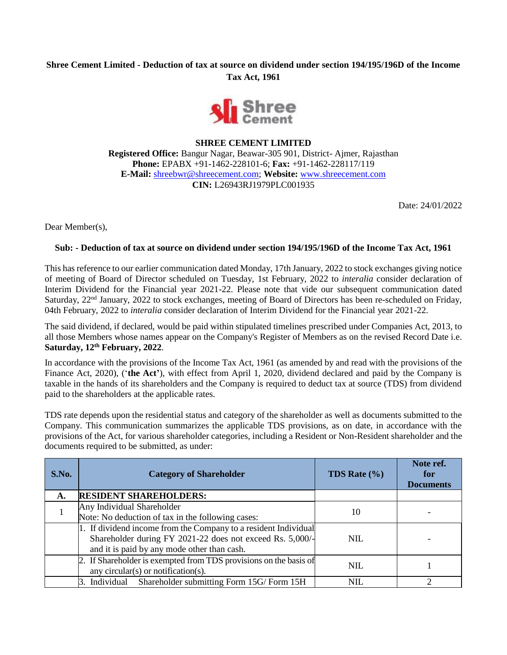# **Shree Cement Limited - Deduction of tax at source on dividend under section 194/195/196D of the Income Tax Act, 1961**



## **SHREE CEMENT LIMITED**

**Registered Office:** Bangur Nagar, Beawar-305 901, District- Ajmer, Rajasthan **Phone:** EPABX +91-1462-228101-6; **Fax:** +91-1462-228117/119 **E-Mail:** [shreebwr@shreecement.com;](mailto:shreebwr@shreecement.com) **Website:** [www.shreecement.com](http://www.shreecement.com/) **CIN:** L26943RJ1979PLC001935

Date: 24/01/2022

Dear Member(s),

#### **Sub: - Deduction of tax at source on dividend under section 194/195/196D of the Income Tax Act, 1961**

This has reference to our earlier communication dated Monday, 17th January, 2022 to stock exchanges giving notice of meeting of Board of Director scheduled on Tuesday, 1st February, 2022 to *interalia* consider declaration of Interim Dividend for the Financial year 2021-22. Please note that vide our subsequent communication dated Saturday, 22nd January, 2022 to stock exchanges, meeting of Board of Directors has been re-scheduled on Friday, 04th February, 2022 to *interalia* consider declaration of Interim Dividend for the Financial year 2021-22.

The said dividend, if declared, would be paid within stipulated timelines prescribed under Companies Act, 2013, to all those Members whose names appear on the Company's Register of Members as on the revised Record Date i.e. **Saturday, 12th February, 2022**.

In accordance with the provisions of the Income Tax Act, 1961 (as amended by and read with the provisions of the Finance Act, 2020), ('**the Act'**), with effect from April 1, 2020, dividend declared and paid by the Company is taxable in the hands of its shareholders and the Company is required to deduct tax at source (TDS) from dividend paid to the shareholders at the applicable rates.

TDS rate depends upon the residential status and category of the shareholder as well as documents submitted to the Company. This communication summarizes the applicable TDS provisions, as on date, in accordance with the provisions of the Act, for various shareholder categories, including a Resident or Non-Resident shareholder and the documents required to be submitted, as under:

| S.No. | <b>Category of Shareholder</b>                                                                                                                                              | <b>TDS</b> Rate $(\% )$ | Note ref.<br>for<br><b>Documents</b> |
|-------|-----------------------------------------------------------------------------------------------------------------------------------------------------------------------------|-------------------------|--------------------------------------|
| А.    | <b>RESIDENT SHAREHOLDERS:</b>                                                                                                                                               |                         |                                      |
|       | Any Individual Shareholder<br>Note: No deduction of tax in the following cases:                                                                                             | 10                      |                                      |
|       | 1. If dividend income from the Company to a resident Individual<br>Shareholder during FY 2021-22 does not exceed Rs. 5,000/-<br>and it is paid by any mode other than cash. | <b>NIL</b>              |                                      |
|       | 2. If Shareholder is exempted from TDS provisions on the basis of<br>any circular(s) or notification(s).                                                                    | <b>NIL</b>              |                                      |
|       | 3. Individual Shareholder submitting Form 15G/Form 15H                                                                                                                      | NIL                     |                                      |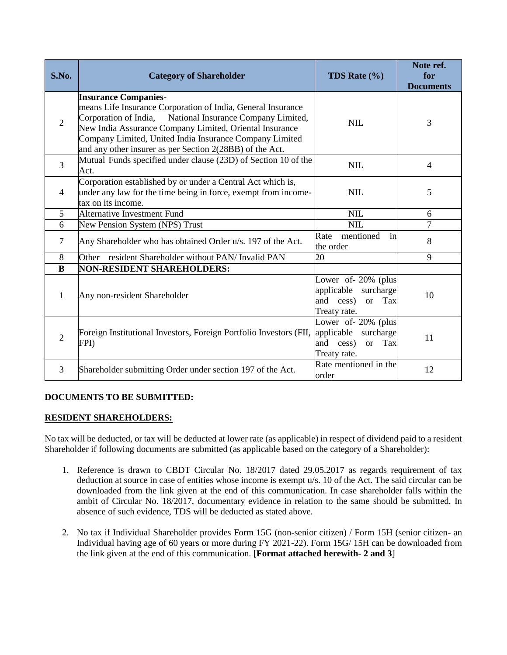| S.No.          | <b>Category of Shareholder</b>                                                                                                                                                                                                                                                                                                             | <b>TDS Rate</b> $(\% )$                                                                                | Note ref.<br>for<br><b>Documents</b> |
|----------------|--------------------------------------------------------------------------------------------------------------------------------------------------------------------------------------------------------------------------------------------------------------------------------------------------------------------------------------------|--------------------------------------------------------------------------------------------------------|--------------------------------------|
| $\overline{2}$ | <b>Insurance Companies-</b><br>means Life Insurance Corporation of India, General Insurance<br>Corporation of India, National Insurance Company Limited,<br>New India Assurance Company Limited, Oriental Insurance<br>Company Limited, United India Insurance Company Limited<br>and any other insurer as per Section 2(28BB) of the Act. | <b>NIL</b>                                                                                             | 3                                    |
| $\overline{3}$ | Mutual Funds specified under clause (23D) of Section 10 of the<br>Act.                                                                                                                                                                                                                                                                     | <b>NIL</b>                                                                                             | $\overline{4}$                       |
| $\overline{4}$ | Corporation established by or under a Central Act which is,<br>under any law for the time being in force, exempt from income-<br>tax on its income.                                                                                                                                                                                        | <b>NIL</b>                                                                                             | 5                                    |
| 5              | Alternative Investment Fund                                                                                                                                                                                                                                                                                                                | <b>NIL</b>                                                                                             | 6                                    |
| 6              | New Pension System (NPS) Trust                                                                                                                                                                                                                                                                                                             | <b>NIL</b>                                                                                             | $\overline{7}$                       |
| 7              | Any Shareholder who has obtained Order u/s. 197 of the Act.                                                                                                                                                                                                                                                                                | in<br>mentioned<br>Rate<br>the order                                                                   | 8                                    |
| 8              | resident Shareholder without PAN/ Invalid PAN<br>Other                                                                                                                                                                                                                                                                                     | 20                                                                                                     | 9                                    |
| B              | <b>NON-RESIDENT SHAREHOLDERS:</b>                                                                                                                                                                                                                                                                                                          |                                                                                                        |                                      |
| 1              | Any non-resident Shareholder                                                                                                                                                                                                                                                                                                               | Lower of $-20\%$ (plus<br>applicable surcharge<br>and<br>cess)<br>Tax<br><sub>or</sub><br>Treaty rate. | 10                                   |
| $\overline{2}$ | Foreign Institutional Investors, Foreign Portfolio Investors (FII,<br>FPI)                                                                                                                                                                                                                                                                 | Lower of 20% (plus<br>applicable surcharge<br>and<br>cess)<br>Tax<br><b>or</b><br>Treaty rate.         | 11                                   |
| 3              | Shareholder submitting Order under section 197 of the Act.                                                                                                                                                                                                                                                                                 | Rate mentioned in the<br>order                                                                         | 12                                   |

## **DOCUMENTS TO BE SUBMITTED:**

## **RESIDENT SHAREHOLDERS:**

No tax will be deducted, or tax will be deducted at lower rate (as applicable) in respect of dividend paid to a resident Shareholder if following documents are submitted (as applicable based on the category of a Shareholder):

- 1. Reference is drawn to CBDT Circular No. 18/2017 dated 29.05.2017 as regards requirement of tax deduction at source in case of entities whose income is exempt u/s. 10 of the Act. The said circular can be downloaded from the link given at the end of this communication. In case shareholder falls within the ambit of Circular No. 18/2017, documentary evidence in relation to the same should be submitted. In absence of such evidence, TDS will be deducted as stated above.
- 2. No tax if Individual Shareholder provides Form 15G (non-senior citizen) / Form 15H (senior citizen- an Individual having age of 60 years or more during FY 2021-22). Form 15G/ 15H can be downloaded from the link given at the end of this communication. [**Format attached herewith- 2 and 3**]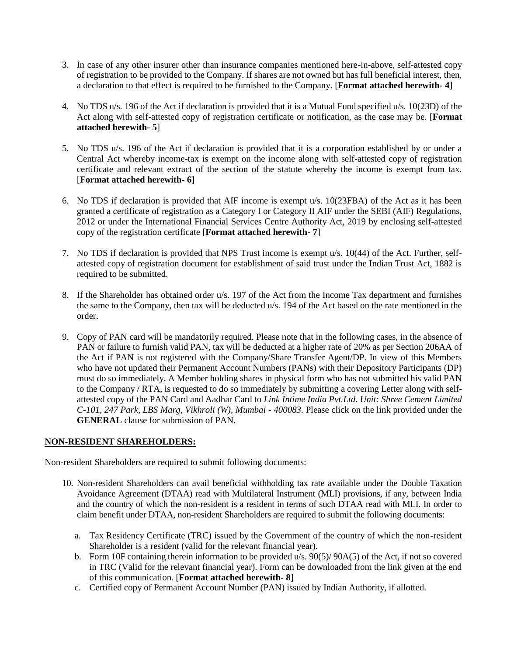- 3. In case of any other insurer other than insurance companies mentioned here-in-above, self-attested copy of registration to be provided to the Company. If shares are not owned but has full beneficial interest, then, a declaration to that effect is required to be furnished to the Company. [**Format attached herewith- 4**]
- 4. No TDS u/s. 196 of the Act if declaration is provided that it is a Mutual Fund specified u/s. 10(23D) of the Act along with self-attested copy of registration certificate or notification, as the case may be. [**Format attached herewith- 5**]
- 5. No TDS u/s. 196 of the Act if declaration is provided that it is a corporation established by or under a Central Act whereby income-tax is exempt on the income along with self-attested copy of registration certificate and relevant extract of the section of the statute whereby the income is exempt from tax. [**Format attached herewith- 6**]
- 6. No TDS if declaration is provided that AIF income is exempt u/s. 10(23FBA) of the Act as it has been granted a certificate of registration as a Category I or Category II AIF under the SEBI (AIF) Regulations, 2012 or under the International Financial Services Centre Authority Act, 2019 by enclosing self-attested copy of the registration certificate [**Format attached herewith- 7**]
- 7. No TDS if declaration is provided that NPS Trust income is exempt u/s. 10(44) of the Act. Further, selfattested copy of registration document for establishment of said trust under the Indian Trust Act, 1882 is required to be submitted.
- 8. If the Shareholder has obtained order u/s. 197 of the Act from the Income Tax department and furnishes the same to the Company, then tax will be deducted u/s. 194 of the Act based on the rate mentioned in the order.
- 9. Copy of PAN card will be mandatorily required. Please note that in the following cases, in the absence of PAN or failure to furnish valid PAN, tax will be deducted at a higher rate of 20% as per Section 206AA of the Act if PAN is not registered with the Company/Share Transfer Agent/DP. In view of this Members who have not updated their Permanent Account Numbers (PANs) with their Depository Participants (DP) must do so immediately. A Member holding shares in physical form who has not submitted his valid PAN to the Company / RTA, is requested to do so immediately by submitting a covering Letter along with selfattested copy of the PAN Card and Aadhar Card to *Link Intime India Pvt.Ltd. Unit: Shree Cement Limited C-101, 247 Park, LBS Marg, Vikhroli (W), Mumbai - 400083*. Please click on the link provided under the **GENERAL** clause for submission of PAN.

## **NON-RESIDENT SHAREHOLDERS:**

Non-resident Shareholders are required to submit following documents:

- 10. Non-resident Shareholders can avail beneficial withholding tax rate available under the Double Taxation Avoidance Agreement (DTAA) read with Multilateral Instrument (MLI) provisions, if any, between India and the country of which the non-resident is a resident in terms of such DTAA read with MLI. In order to claim benefit under DTAA, non-resident Shareholders are required to submit the following documents:
	- a. Tax Residency Certificate (TRC) issued by the Government of the country of which the non-resident Shareholder is a resident (valid for the relevant financial year).
	- b. Form 10F containing therein information to be provided u/s. 90(5)/ 90A(5) of the Act, if not so covered in TRC (Valid for the relevant financial year). Form can be downloaded from the link given at the end of this communication. [**Format attached herewith- 8**]
	- c. Certified copy of Permanent Account Number (PAN) issued by Indian Authority, if allotted.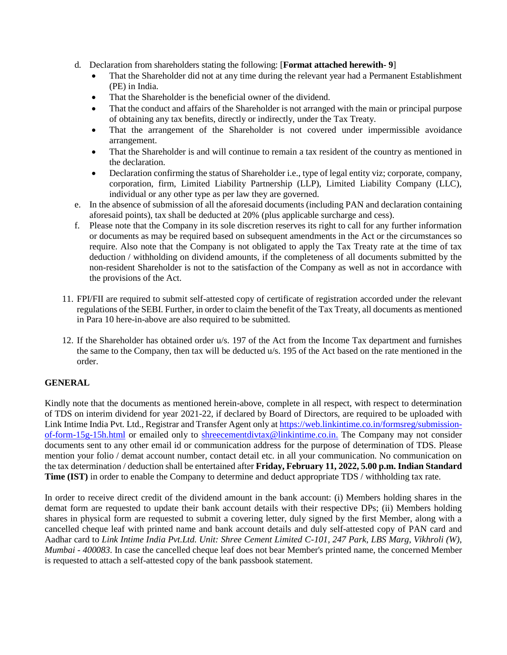- d. Declaration from shareholders stating the following: [**Format attached herewith- 9**]
	- That the Shareholder did not at any time during the relevant year had a Permanent Establishment (PE) in India.
	- That the Shareholder is the beneficial owner of the dividend.
	- That the conduct and affairs of the Shareholder is not arranged with the main or principal purpose of obtaining any tax benefits, directly or indirectly, under the Tax Treaty.
	- That the arrangement of the Shareholder is not covered under impermissible avoidance arrangement.
	- That the Shareholder is and will continue to remain a tax resident of the country as mentioned in the declaration.
	- Declaration confirming the status of Shareholder i.e., type of legal entity viz; corporate, company, corporation, firm, Limited Liability Partnership (LLP), Limited Liability Company (LLC), individual or any other type as per law they are governed.
- e. In the absence of submission of all the aforesaid documents (including PAN and declaration containing aforesaid points), tax shall be deducted at 20% (plus applicable surcharge and cess).
- f. Please note that the Company in its sole discretion reserves its right to call for any further information or documents as may be required based on subsequent amendments in the Act or the circumstances so require. Also note that the Company is not obligated to apply the Tax Treaty rate at the time of tax deduction / withholding on dividend amounts, if the completeness of all documents submitted by the non-resident Shareholder is not to the satisfaction of the Company as well as not in accordance with the provisions of the Act.
- 11. FPI/FII are required to submit self-attested copy of certificate of registration accorded under the relevant regulations of the SEBI. Further, in order to claim the benefit of the Tax Treaty, all documents as mentioned in Para 10 here-in-above are also required to be submitted.
- 12. If the Shareholder has obtained order u/s. 197 of the Act from the Income Tax department and furnishes the same to the Company, then tax will be deducted u/s. 195 of the Act based on the rate mentioned in the order.

# **GENERAL**

Kindly note that the documents as mentioned herein-above, complete in all respect, with respect to determination of TDS on interim dividend for year 2021-22, if declared by Board of Directors, are required to be uploaded with Link Intime India Pvt. Ltd., Registrar and Transfer Agent only a[t https://web.linkintime.co.in/formsreg/submission](https://web.linkintime.co.in/formsreg/submission-of-form-15g-15h.html)[of-form-15g-15h.html](https://web.linkintime.co.in/formsreg/submission-of-form-15g-15h.html) or emailed only to [shreecementdivtax@linkintime.co.in.](mailto:shreecementdivtax@linkintime.co.in) The Company may not consider documents sent to any other email id or communication address for the purpose of determination of TDS. Please mention your folio / demat account number, contact detail etc. in all your communication. No communication on the tax determination / deduction shall be entertained after **Friday, February 11, 2022, 5.00 p.m. Indian Standard Time (IST)** in order to enable the Company to determine and deduct appropriate TDS / withholding tax rate.

In order to receive direct credit of the dividend amount in the bank account: (i) Members holding shares in the demat form are requested to update their bank account details with their respective DPs; (ii) Members holding shares in physical form are requested to submit a covering letter, duly signed by the first Member, along with a cancelled cheque leaf with printed name and bank account details and duly self-attested copy of PAN card and Aadhar card to *Link Intime India Pvt.Ltd. Unit: Shree Cement Limited C-101, 247 Park, LBS Marg, Vikhroli (W), Mumbai - 400083*. In case the cancelled cheque leaf does not bear Member's printed name, the concerned Member is requested to attach a self-attested copy of the bank passbook statement.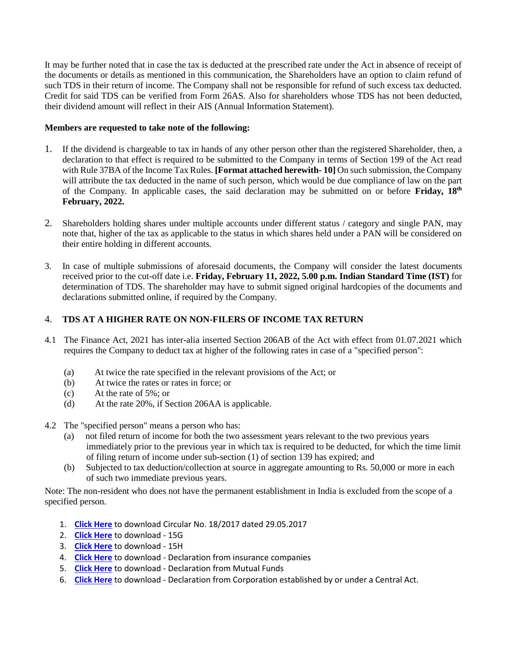It may be further noted that in case the tax is deducted at the prescribed rate under the Act in absence of receipt of the documents or details as mentioned in this communication, the Shareholders have an option to claim refund of such TDS in their return of income. The Company shall not be responsible for refund of such excess tax deducted. Credit for said TDS can be verified from Form 26AS. Also for shareholders whose TDS has not been deducted, their dividend amount will reflect in their AIS (Annual Information Statement).

#### **Members are requested to take note of the following:**

- 1. If the dividend is chargeable to tax in hands of any other person other than the registered Shareholder, then, a declaration to that effect is required to be submitted to the Company in terms of Section 199 of the Act read with Rule 37BA of the Income Tax Rules. **[Format attached herewith- 10]** On such submission, the Company will attribute the tax deducted in the name of such person, which would be due compliance of law on the part of the Company. In applicable cases, the said declaration may be submitted on or before Friday, 18<sup>th</sup> **February, 2022.**
- 2. Shareholders holding shares under multiple accounts under different status / category and single PAN, may note that, higher of the tax as applicable to the status in which shares held under a PAN will be considered on their entire holding in different accounts.
- 3. In case of multiple submissions of aforesaid documents, the Company will consider the latest documents received prior to the cut-off date i.e. **Friday, February 11, 2022, 5.00 p.m. Indian Standard Time (IST)** for determination of TDS. The shareholder may have to submit signed original hardcopies of the documents and declarations submitted online, if required by the Company.

## 4. **TDS AT A HIGHER RATE ON NON-FILERS OF INCOME TAX RETURN**

- 4.1 The Finance Act, 2021 has inter-alia inserted Section 206AB of the Act with effect from 01.07.2021 which requires the Company to deduct tax at higher of the following rates in case of a "specified person":
	- (a) At twice the rate specified in the relevant provisions of the Act; or
	- (b) At twice the rates or rates in force; or
	- (c) At the rate of 5%; or
	- (d) At the rate 20%, if Section 206AA is applicable.
- 4.2 The "specified person" means a person who has:
	- (a) not filed return of income for both the two assessment years relevant to the two previous years immediately prior to the previous year in which tax is required to be deducted, for which the time limit of filing return of income under sub-section (1) of section 139 has expired; and
	- (b) Subjected to tax deduction/collection at source in aggregate amounting to Rs. 50,000 or more in each of such two immediate previous years.

Note: The non-resident who does not have the permanent establishment in India is excluded from the scope of a specified person.

- 1. **[Click Here](https://www.linkintime.co.in/website/GoGreen/2021/Update/Shree_Cement_Limited/1_Circular_No_182017_dated_29052017.pdf)** to download Circular No. 18/2017 dated 29.05.2017
- 2. **[Click Here](https://www.linkintime.co.in/website/gogreen/2022/Update/Shree_Cement_Ltd/FORM%2015G.DOCX)** to download 15G
- 3. **[Click Here](https://www.linkintime.co.in/website/gogreen/2022/Update/Shree_Cement_Ltd/FORM%2015H.DOCX)** to download 15H
- 4. **[Click Here](https://www.linkintime.co.in/website/GoGreen/2021/Update/Shree_Cement_Limited/4_Declaration_by_insurance_companies.pdf)** to download Declaration from insurance companies
- 5. **[Click Here](https://www.linkintime.co.in/website/GoGreen/2021/Update/Shree_Cement_Limited/5_Declaration_by_mutual_fund.pdf)** to download Declaration from Mutual Funds
- 6. **[Click Here](https://www.linkintime.co.in/website/GoGreen/2021/Update/Shree_Cement_Limited/6_Declaration_by_corporation.pdf)** to download Declaration from Corporation established by or under a Central Act.